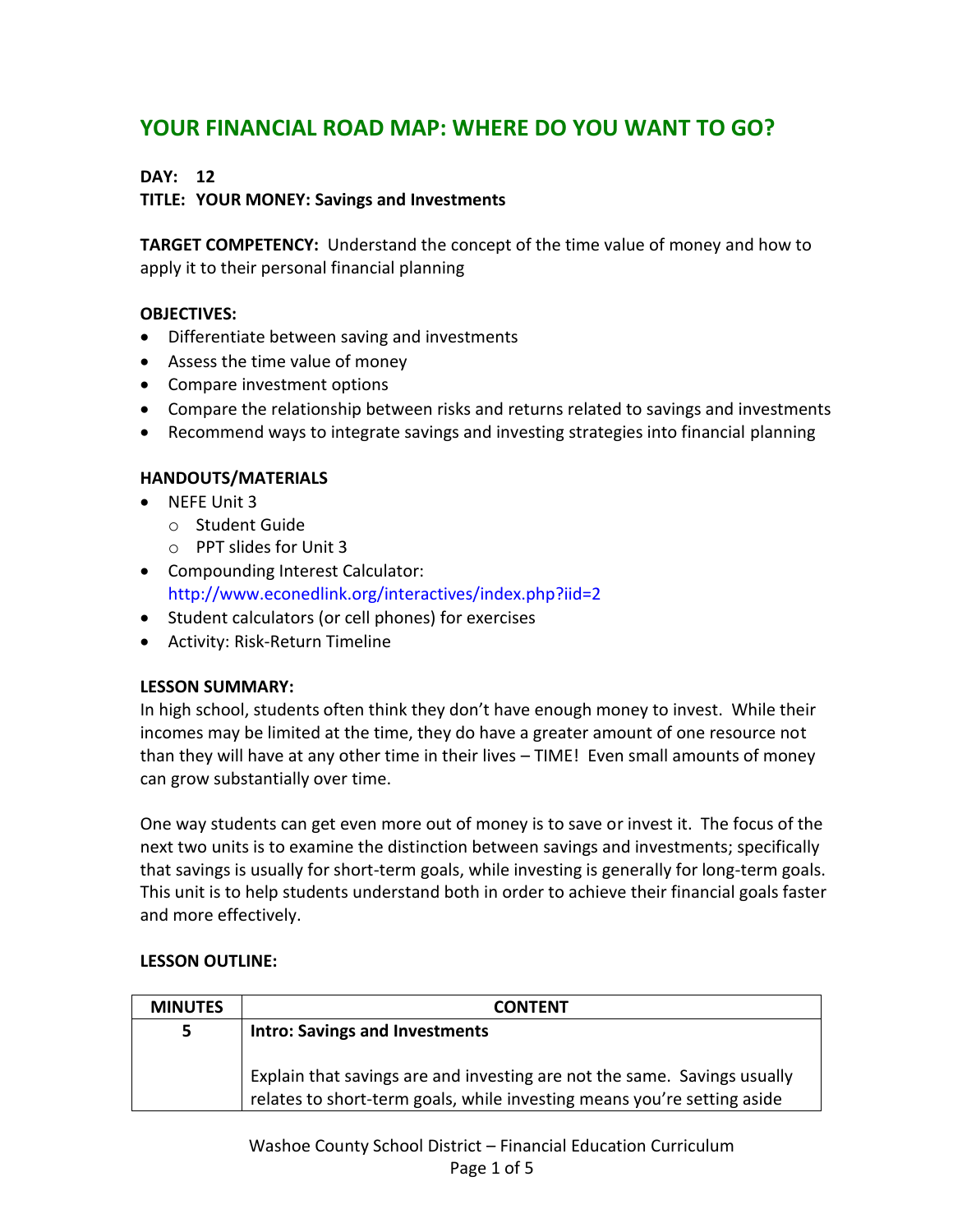# **YOUR FINANCIAL ROAD MAP: WHERE DO YOU WANT TO GO?**

# **DAY: 12**

# **TITLE: YOUR MONEY: Savings and Investments**

**TARGET COMPETENCY:** Understand the concept of the time value of money and how to apply it to their personal financial planning

# **OBJECTIVES:**

- Differentiate between saving and investments
- Assess the time value of money
- Compare investment options
- Compare the relationship between risks and returns related to savings and investments
- Recommend ways to integrate savings and investing strategies into financial planning

# **HANDOUTS/MATERIALS**

- NFFF Unit 3
	- o Student Guide
	- o PPT slides for Unit 3
- Compounding Interest Calculator: <http://www.econedlink.org/interactives/index.php?iid=2>
- Student calculators (or cell phones) for exercises
- Activity: Risk-Return Timeline

# **LESSON SUMMARY:**

In high school, students often think they don't have enough money to invest. While their incomes may be limited at the time, they do have a greater amount of one resource not than they will have at any other time in their lives – TIME! Even small amounts of money can grow substantially over time.

One way students can get even more out of money is to save or invest it. The focus of the next two units is to examine the distinction between savings and investments; specifically that savings is usually for short-term goals, while investing is generally for long-term goals. This unit is to help students understand both in order to achieve their financial goals faster and more effectively.

# **LESSON OUTLINE:**

| <b>MINUTES</b> | CONTENT                                                                                                                                             |
|----------------|-----------------------------------------------------------------------------------------------------------------------------------------------------|
| 5.             | <b>Intro: Savings and Investments</b>                                                                                                               |
|                | Explain that savings are and investing are not the same. Savings usually<br>relates to short-term goals, while investing means you're setting aside |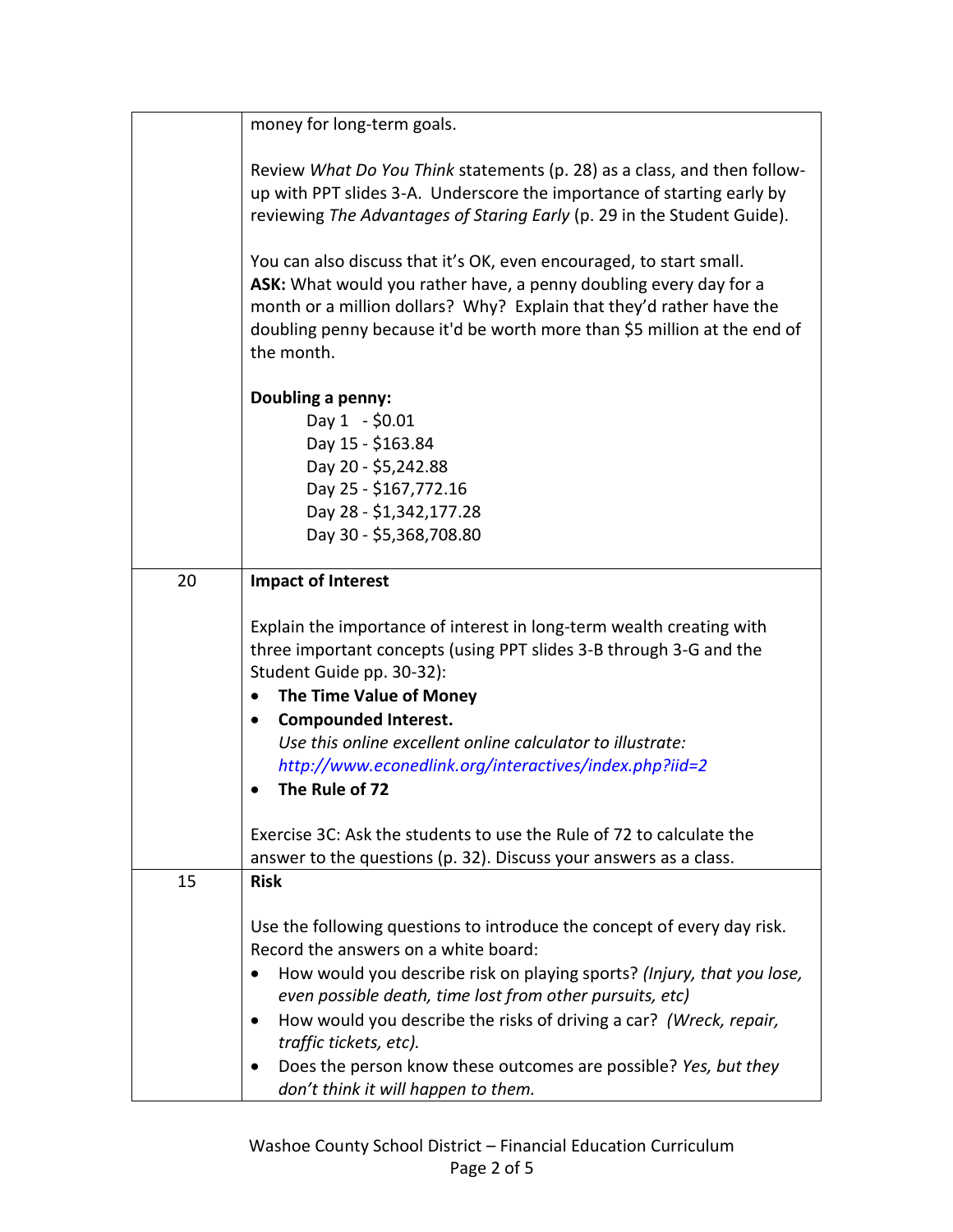|    | money for long-term goals.                                                                                                                                                                                                                                                                                                                                                                                                                                      |
|----|-----------------------------------------------------------------------------------------------------------------------------------------------------------------------------------------------------------------------------------------------------------------------------------------------------------------------------------------------------------------------------------------------------------------------------------------------------------------|
|    | Review What Do You Think statements (p. 28) as a class, and then follow-<br>up with PPT slides 3-A. Underscore the importance of starting early by<br>reviewing The Advantages of Staring Early (p. 29 in the Student Guide).                                                                                                                                                                                                                                   |
|    | You can also discuss that it's OK, even encouraged, to start small.<br>ASK: What would you rather have, a penny doubling every day for a<br>month or a million dollars? Why? Explain that they'd rather have the<br>doubling penny because it'd be worth more than \$5 million at the end of<br>the month.                                                                                                                                                      |
|    | Doubling a penny:<br>Day $1 - $0.01$<br>Day 15 - \$163.84<br>Day 20 - \$5,242.88<br>Day 25 - \$167,772.16<br>Day 28 - \$1,342,177.28<br>Day 30 - \$5,368,708.80                                                                                                                                                                                                                                                                                                 |
| 20 | <b>Impact of Interest</b>                                                                                                                                                                                                                                                                                                                                                                                                                                       |
|    | Explain the importance of interest in long-term wealth creating with<br>three important concepts (using PPT slides 3-B through 3-G and the<br>Student Guide pp. 30-32):<br>The Time Value of Money<br><b>Compounded Interest.</b><br>Use this online excellent online calculator to illustrate:<br>http://www.econedlink.org/interactives/index.php?iid=2<br>The Rule of 72                                                                                     |
|    | Exercise 3C: Ask the students to use the Rule of 72 to calculate the<br>answer to the questions (p. 32). Discuss your answers as a class.                                                                                                                                                                                                                                                                                                                       |
| 15 | <b>Risk</b>                                                                                                                                                                                                                                                                                                                                                                                                                                                     |
|    | Use the following questions to introduce the concept of every day risk.<br>Record the answers on a white board:<br>How would you describe risk on playing sports? (Injury, that you lose,<br>even possible death, time lost from other pursuits, etc)<br>How would you describe the risks of driving a car? (Wreck, repair,<br>traffic tickets, etc).<br>Does the person know these outcomes are possible? Yes, but they<br>don't think it will happen to them. |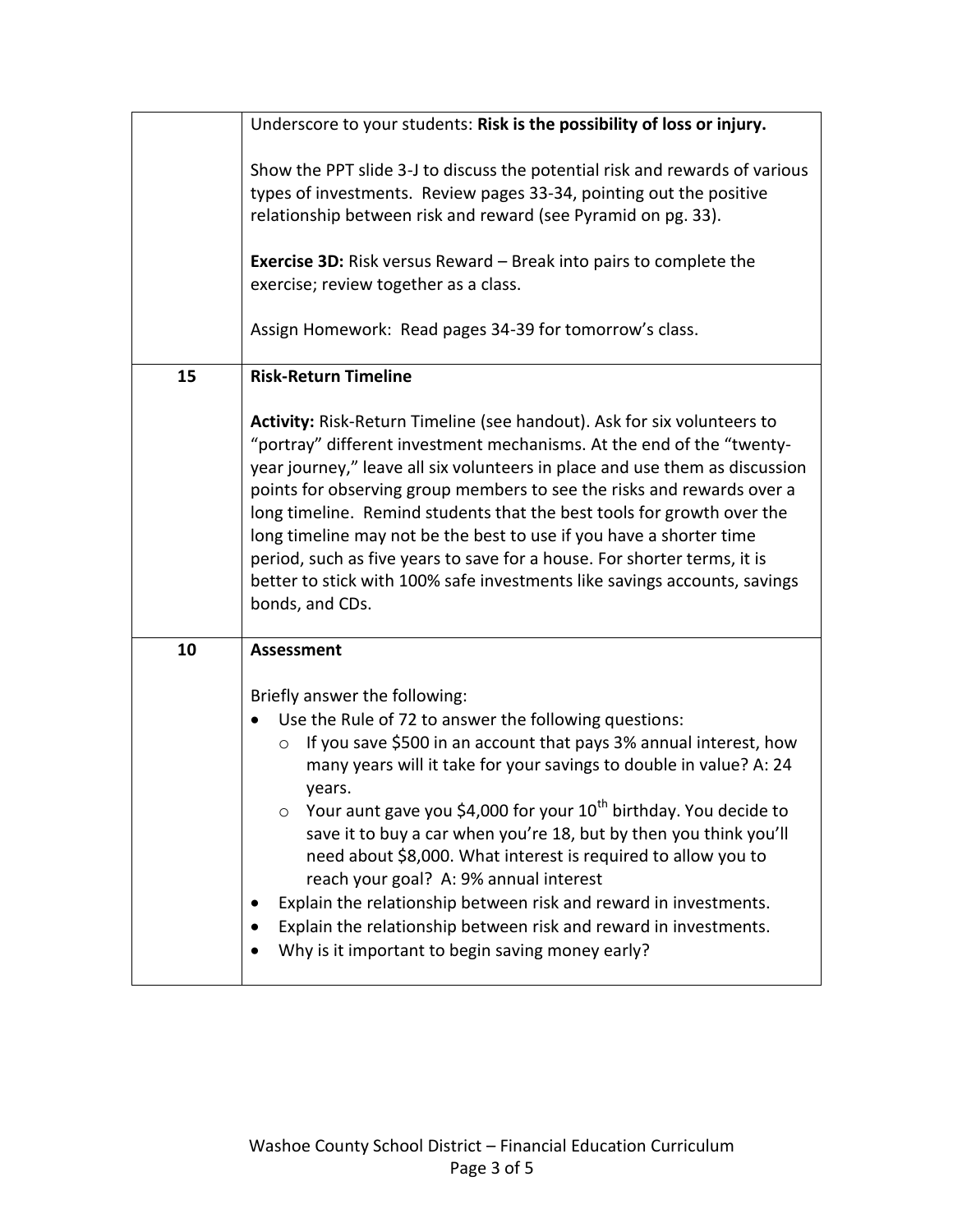|    | Underscore to your students: Risk is the possibility of loss or injury.                                                                                                                                                                                                                                                                                                                                                                                                                                                                                                                                                                                                                                                       |
|----|-------------------------------------------------------------------------------------------------------------------------------------------------------------------------------------------------------------------------------------------------------------------------------------------------------------------------------------------------------------------------------------------------------------------------------------------------------------------------------------------------------------------------------------------------------------------------------------------------------------------------------------------------------------------------------------------------------------------------------|
|    | Show the PPT slide 3-J to discuss the potential risk and rewards of various<br>types of investments. Review pages 33-34, pointing out the positive<br>relationship between risk and reward (see Pyramid on pg. 33).<br><b>Exercise 3D:</b> Risk versus Reward $-$ Break into pairs to complete the<br>exercise; review together as a class.                                                                                                                                                                                                                                                                                                                                                                                   |
|    | Assign Homework: Read pages 34-39 for tomorrow's class.                                                                                                                                                                                                                                                                                                                                                                                                                                                                                                                                                                                                                                                                       |
| 15 | <b>Risk-Return Timeline</b>                                                                                                                                                                                                                                                                                                                                                                                                                                                                                                                                                                                                                                                                                                   |
|    | Activity: Risk-Return Timeline (see handout). Ask for six volunteers to<br>"portray" different investment mechanisms. At the end of the "twenty-<br>year journey," leave all six volunteers in place and use them as discussion<br>points for observing group members to see the risks and rewards over a<br>long timeline. Remind students that the best tools for growth over the<br>long timeline may not be the best to use if you have a shorter time<br>period, such as five years to save for a house. For shorter terms, it is<br>better to stick with 100% safe investments like savings accounts, savings<br>bonds, and CDs.                                                                                        |
| 10 | <b>Assessment</b>                                                                                                                                                                                                                                                                                                                                                                                                                                                                                                                                                                                                                                                                                                             |
|    | Briefly answer the following:<br>Use the Rule of 72 to answer the following questions:<br>If you save \$500 in an account that pays 3% annual interest, how<br>$\circ$<br>many years will it take for your savings to double in value? A: 24<br>years.<br>Your aunt gave you \$4,000 for your 10 <sup>th</sup> birthday. You decide to<br>$\circ$<br>save it to buy a car when you're 18, but by then you think you'll<br>need about \$8,000. What interest is required to allow you to<br>reach your goal? A: 9% annual interest<br>Explain the relationship between risk and reward in investments.<br>Explain the relationship between risk and reward in investments.<br>Why is it important to begin saving money early? |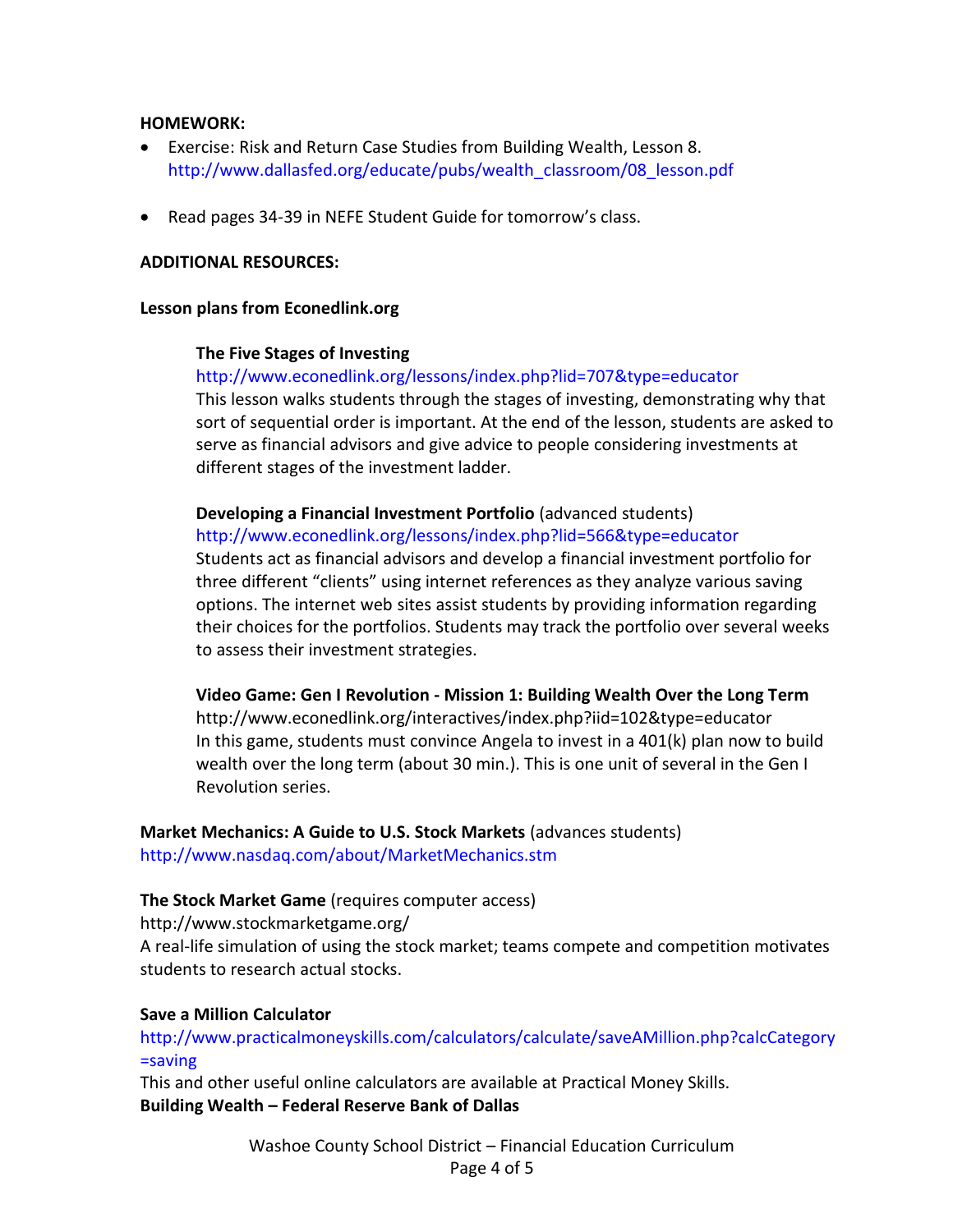# **HOMEWORK:**

- Exercise: Risk and Return Case Studies from Building Wealth, Lesson 8. [http://www.dallasfed.org/educate/pubs/wealth\\_classroom/08\\_lesson.pdf](http://www.dallasfed.org/educate/pubs/wealth_classroom/08_lesson.pdf)
- Read pages 34-39 in NEFE Student Guide for tomorrow's class.

#### **ADDITIONAL RESOURCES:**

#### **Lesson plans from Econedlink.org**

#### **The Five Stages of Investing**

<http://www.econedlink.org/lessons/index.php?lid=707&type=educator> This lesson walks students through the stages of investing, demonstrating why that sort of sequential order is important. At the end of the lesson, students are asked to serve as financial advisors and give advice to people considering investments at different stages of the investment ladder.

#### **Developing a Financial Investment Portfolio** (advanced students)

<http://www.econedlink.org/lessons/index.php?lid=566&type=educator> Students act as financial advisors and develop a financial investment portfolio for three different "clients" using internet references as they analyze various saving options. The internet web sites assist students by providing information regarding their choices for the portfolios. Students may track the portfolio over several weeks to assess their investment strategies.

**Video Game: Gen I Revolution - Mission 1: Building Wealth Over the Long Term**  <http://www.econedlink.org/interactives/index.php?iid=102&type=educator>

In this game, students must convince Angela to invest in a 401(k) plan now to build wealth over the long term (about 30 min.). This is one unit of several in the Gen I Revolution series.

**Market Mechanics: A Guide to U.S. Stock Markets** (advances students) <http://www.nasdaq.com/about/MarketMechanics.stm>

# **The Stock Market Game** (requires computer access)

http://www.stockmarketgame.org/

A real-life simulation of using the stock market; teams compete and competition motivates students to research actual stocks.

#### **Save a Million Calculator**

# [http://www.practicalmoneyskills.com/calculators/calculate/saveAMillion.php?calcCategory](http://www.practicalmoneyskills.com/calculators/calculate/saveAMillion.php?calcCategory=saving) [=saving](http://www.practicalmoneyskills.com/calculators/calculate/saveAMillion.php?calcCategory=saving)

This and other useful online calculators are available at Practical Money Skills. **Building Wealth – Federal Reserve Bank of Dallas**

> Washoe County School District – Financial Education Curriculum Page 4 of 5